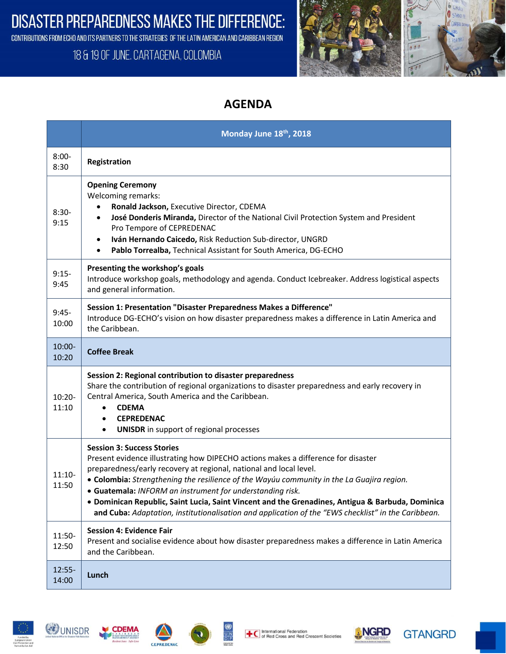**DISASTER PREPAREDNESS MAKES THE DIFFERENCE:** 

CONTRIBUTIONS FROM ECHO AND ITS PARTNERS TO THE STRATEGIES OF THE LATIN AMERICAN AND CARIBBEAN REGION

## 18 & 19 OF JUNE. CARTAGENA, COLOMBIA



## **AGENDA**

|                    | Monday June 18th, 2018                                                                                                                                                                                                                                                                                                                                                                                                                                                                                                                                            |
|--------------------|-------------------------------------------------------------------------------------------------------------------------------------------------------------------------------------------------------------------------------------------------------------------------------------------------------------------------------------------------------------------------------------------------------------------------------------------------------------------------------------------------------------------------------------------------------------------|
| $8:00 -$<br>8:30   | Registration                                                                                                                                                                                                                                                                                                                                                                                                                                                                                                                                                      |
| $8:30-$<br>9:15    | <b>Opening Ceremony</b><br>Welcoming remarks:<br>Ronald Jackson, Executive Director, CDEMA<br>José Donderis Miranda, Director of the National Civil Protection System and President<br>Pro Tempore of CEPREDENAC<br>Iván Hernando Caicedo, Risk Reduction Sub-director, UNGRD<br>٠<br>Pablo Torrealba, Technical Assistant for South America, DG-ECHO                                                                                                                                                                                                             |
| $9:15-$<br>9:45    | Presenting the workshop's goals<br>Introduce workshop goals, methodology and agenda. Conduct Icebreaker. Address logistical aspects<br>and general information.                                                                                                                                                                                                                                                                                                                                                                                                   |
| $9:45-$<br>10:00   | Session 1: Presentation "Disaster Preparedness Makes a Difference"<br>Introduce DG-ECHO's vision on how disaster preparedness makes a difference in Latin America and<br>the Caribbean.                                                                                                                                                                                                                                                                                                                                                                           |
| $10:00 -$<br>10:20 | <b>Coffee Break</b>                                                                                                                                                                                                                                                                                                                                                                                                                                                                                                                                               |
| $10:20 -$<br>11:10 | Session 2: Regional contribution to disaster preparedness<br>Share the contribution of regional organizations to disaster preparedness and early recovery in<br>Central America, South America and the Caribbean.<br><b>CDEMA</b><br><b>CEPREDENAC</b><br><b>UNISDR</b> in support of regional processes<br>$\bullet$                                                                                                                                                                                                                                             |
| $11:10-$<br>11:50  | <b>Session 3: Success Stories</b><br>Present evidence illustrating how DIPECHO actions makes a difference for disaster<br>preparedness/early recovery at regional, national and local level.<br>• Colombia: Strengthening the resilience of the Wayúu community in the La Guajira region.<br>• Guatemala: INFORM an instrument for understanding risk.<br>· Dominican Republic, Saint Lucia, Saint Vincent and the Grenadines, Antigua & Barbuda, Dominica<br>and Cuba: Adaptation, institutionalisation and application of the "EWS checklist" in the Caribbean. |
| 11:50-<br>12:50    | <b>Session 4: Evidence Fair</b><br>Present and socialise evidence about how disaster preparedness makes a difference in Latin America<br>and the Caribbean.                                                                                                                                                                                                                                                                                                                                                                                                       |
| 12:55-<br>14:00    | Lunch                                                                                                                                                                                                                                                                                                                                                                                                                                                                                                                                                             |











**GTANGRD**